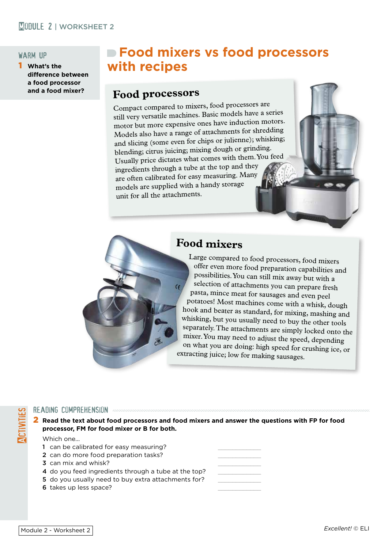## MORKSHEET 2

#### warm up

1 **What's the difference between a food processor and a food mixer?**

# **Food mixers vs food processors with recipes**

# **Food processors**

Compact compared to mixers, food processors are still very versatile machines. Basic models have a series motor but more expensive ones have induction motors. Models also have a range of attachments for shredding and slicing (some even for chips or julienne); whisking; blending; citrus juicing; mixing dough or grinding. Usually price dictates what comes with them. You feed ingredients through a tube at the top and they are often calibrated for easy measuring. Many models are supplied with a handy storage unit for all the attachments.



Large compared to food processors, food mixers offer even more food preparation capabilities and possibilities. You can still mix away but with a selection of attachments you can prepare fresh pasta, mince meat for sausages and even peel potatoes! Most machines come with a whisk, dough hook and beater as standard, for mixing, mashing and whisking, but you usually need to buy the other tools separately. The attachments are simply locked onto the mixer. You may need to adjust the speed, depending on what you are doing: high speed for crushing ice, or extracting juice; low for making sausages.

# READING COMPREHENSION<br>2 Read the text about 1<br>processor, FM for foo<br>Which one... 2 **Read the text about food processors and food mixers and answer the questions with FP for food processor, FM for food mixer or B for both.**

Which one...

- 1 can be calibrated for easy measuring?
- 2 can do more food preparation tasks?
- 3 can mix and whisk?
- 4 do you feed ingredients through a tube at the top?
- 5 do you usually need to buy extra attachments for?
- 6 takes up less space?